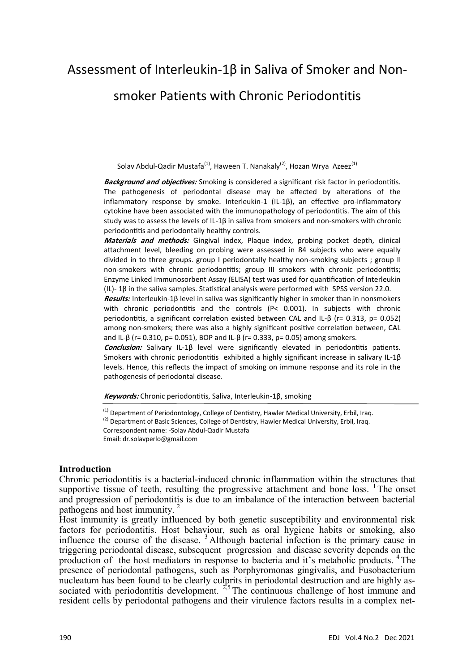# Assessment of Interleukin-1β in Saliva of Smoker and Nonsmoker Patients with Chronic Periodontitis

Solav Abdul-Qadir Mustafa<sup>(1)</sup>, Haween T. Nanakaly<sup>(2)</sup>, Hozan Wrya Azeez<sup>(1)</sup>

**Background and objectives:** Smoking is considered a significant risk factor in periodontitis. The pathogenesis of periodontal disease may be affected by alterations of the inflammatory response by smoke. Interleukin-1 (IL-1β), an effective pro-inflammatory cytokine have been associated with the immunopathology of periodontitis. The aim of this study was to assess the levels of IL-1β in saliva from smokers and non-smokers with chronic periodontitis and periodontally healthy controls.

**Materials and methods:** Gingival index, Plaque index, probing pocket depth, clinical attachment level, bleeding on probing were assessed in 84 subjects who were equally divided in to three groups. group I periodontally healthy non-smoking subjects ; group II non-smokers with chronic periodontitis; group III smokers with chronic periodontitis; Enzyme Linked Immunosorbent Assay (ELISA) test was used for quantification of Interleukin (IL)- 1β in the saliva samples. Statistical analysis were performed with SPSS version 22.0.

**Results:** Interleukin-1β level in saliva was significantly higher in smoker than in nonsmokers with chronic periodontitis and the controls (P< 0.001). In subjects with chronic periodontitis, a significant correlation existed between CAL and IL-β (r= 0.313, p= 0.052) among non-smokers; there was also a highly significant positive correlation between, CAL and IL-β (r= 0.310, p= 0.051), BOP and IL-β (r= 0.333, p= 0.05) among smokers.

**Conclusion:** Salivary IL-1β level were significantly elevated in periodontitis patients. Smokers with chronic periodontitis exhibited a highly significant increase in salivary IL-1β levels. Hence, this reflects the impact of smoking on immune response and its role in the pathogenesis of periodontal disease.

**Keywords:** Chronic periodontitis, Saliva, Interleukin-1β, smoking

<sup>(1)</sup> Department of Periodontology, College of Dentistry, Hawler Medical University, Erbil, Iraq.  $(2)$  Department of Basic Sciences, College of Dentistry, Hawler Medical University, Erbil, Iraq. Correspondent name: -Solav Abdul-Qadir Mustafa Email: dr.solavperlo@gmail.com

#### **Introduction**

Chronic periodontitis is a bacterial-induced chronic inflammation within the structures that supportive tissue of teeth, resulting the progressive attachment and bone loss. <sup>1</sup>The onset and progression of periodontitis is due to an imbalance of the interaction between bacterial pathogens and host immunity. <sup>2</sup>

Host immunity is greatly influenced by both genetic susceptibility and environmental risk factors for periodontitis. Host behaviour, such as oral hygiene habits or smoking, also influence the course of the disease.  $3$  Although bacterial infection is the primary cause in triggering periodontal disease, subsequent progression and disease severity depends on the production of the host mediators in response to bacteria and it's metabolic products. <sup>4</sup>The presence of periodontal pathogens, such as Porphyromonas gingivalis, and Fusobacterium nucleatum has been found to be clearly culprits in periodontal destruction and are highly associated with periodontitis development.  $2.5$  The continuous challenge of host immune and resident cells by periodontal pathogens and their virulence factors results in a complex net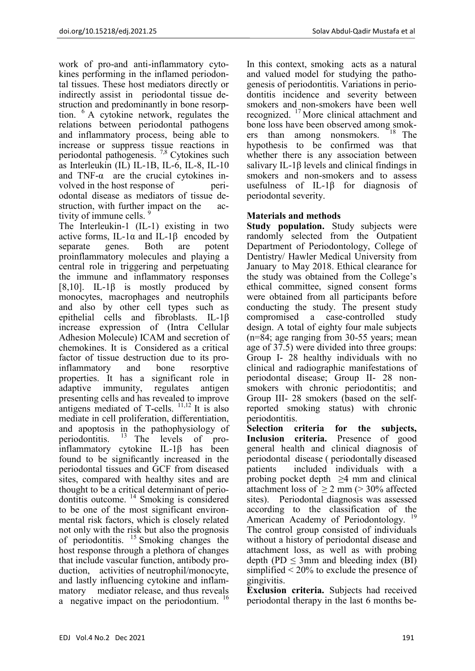work of pro-and anti-inflammatory cytokines performing in the inflamed periodontal tissues. These host mediators directly or indirectly assist in periodontal tissue destruction and predominantly in bone resorption. <sup>6</sup>A cytokine network, regulates the relations between periodontal pathogens and inflammatory process, being able to increase or suppress tissue reactions in periodontal pathogenesis. 7,8 Cytokines such as Interleukin (IL) IL-1B, IL-6, IL-8, IL-10 and TNF- $\alpha$  are the crucial cytokines involved in the host response of periodontal disease as mediators of tissue destruction, with further impact on the activity of immune cells.<sup>9</sup>

The Interleukin-1 (IL-1) existing in two active forms, IL-1 $\alpha$  and IL-1 $\beta$  encoded by separate genes. Both are potent proinflammatory molecules and playing a central role in triggering and perpetuating the immune and inflammatory responses [8,10]. IL-1 $\beta$  is mostly produced by monocytes, macrophages and neutrophils and also by other cell types such as epithelial cells and fibroblasts. IL-1β increase expression of (Intra Cellular Adhesion Molecule) ICAM and secretion of chemokines. It is Considered as a critical factor of tissue destruction due to its proinflammatory and bone resorptive properties. It has a significant role in adaptive immunity, regulates antigen presenting cells and has revealed to improve antigens mediated of T-cells. <sup>11,12</sup> It is also mediate in cell proliferation, differentiation, and apoptosis in the pathophysiology of periodontitis.  $13$  The levels of proinflammatory cytokine IL-1β has been found to be significantly increased in the periodontal tissues and GCF from diseased sites, compared with healthy sites and are thought to be a critical determinant of periodontitis outcome. <sup>14</sup> Smoking is considered to be one of the most significant environmental risk factors, which is closely related not only with the risk but also the prognosis of periodontitis.  $^{15}$  Smoking changes the host response through a plethora of changes that include vascular function, antibody production, activities of neutrophil/monocyte, and lastly influencing cytokine and inflammatory mediator release, and thus reveals a negative impact on the periodontium.<sup>16</sup>

In this context, smoking acts as a natural and valued model for studying the pathogenesis of periodontitis. Variations in periodontitis incidence and severity between smokers and non-smokers have been well recognized. <sup>17</sup> More clinical attachment and bone loss have been observed among smokers than among nonsmokers.  $18$  The hypothesis to be confirmed was that whether there is any association between salivary IL-1β levels and clinical findings in smokers and non-smokers and to assess usefulness of IL-1β for diagnosis of periodontal severity.

## **Materials and methods**

**Study population.** Study subjects were randomly selected from the Outpatient Department of Periodontology, College of Dentistry/ Hawler Medical University from January to May 2018. Ethical clearance for the study was obtained from the College's ethical committee, signed consent forms were obtained from all participants before conducting the study. The present study compromised a case-controlled study design. A total of eighty four male subjects (n=84; age ranging from 30-55 years; mean age of 37.5) were divided into three groups: Group I- 28 healthy individuals with no clinical and radiographic manifestations of periodontal disease; Group II- 28 nonsmokers with chronic periodontitis; and Group III- 28 smokers (based on the selfreported smoking status) with chronic periodontitis.

**Selection criteria for the subjects, Inclusion criteria.** Presence of good general health and clinical diagnosis of periodontal disease ( periodontally diseased patients included individuals with a probing pocket depth  $\geq 4$  mm and clinical attachment loss of  $\geq 2$  mm ( $> 30\%$  affected sites). Periodontal diagnosis was assessed according to the classification of the American Academy of Periodontology.<sup>19</sup> The control group consisted of individuals without a history of periodontal disease and attachment loss, as well as with probing depth (PD  $\leq$  3mm and bleeding index (BI) simplified  $\leq 20\%$  to exclude the presence of gingivitis.

**Exclusion criteria.** Subjects had received periodontal therapy in the last 6 months be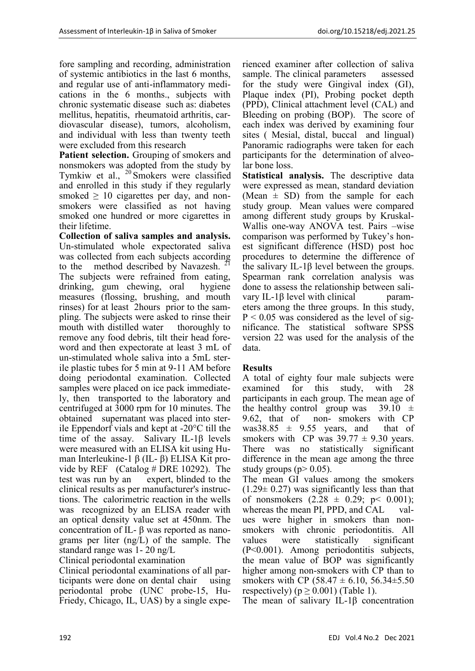fore sampling and recording, administration of systemic antibiotics in the last 6 months, and regular use of anti-inflammatory medications in the 6 months., subjects with chronic systematic disease such as: diabetes mellitus, hepatitis, rheumatoid arthritis, cardiovascular disease), tumors, alcoholism, and individual with less than twenty teeth were excluded from this research

**Patient selection.** Grouping of smokers and nonsmokers was adopted from the study by Tymkiw et al.,  $20$  Smokers were classified and enrolled in this study if they regularly smoked  $\geq 10$  cigarettes per day, and nonsmokers were classified as not having smoked one hundred or more cigarettes in their lifetime.

**Collection of saliva samples and analysis.**  Un-stimulated whole expectorated saliva was collected from each subjects according to the method described by Navazesh.  $\frac{1}{2}$ The subjects were refrained from eating, drinking, gum chewing, oral hygiene measures (flossing, brushing, and mouth rinses) for at least 2hours prior to the sampling. The subjects were asked to rinse their mouth with distilled water thoroughly to remove any food debris, tilt their head foreword and then expectorate at least 3 mL of un-stimulated whole saliva into a 5mL sterile plastic tubes for 5 min at 9-11 AM before doing periodontal examination. Collected samples were placed on ice pack immediately, then transported to the laboratory and centrifuged at 3000 rpm for 10 minutes. The obtained supernatant was placed into sterile Eppendorf vials and kept at -20°C till the time of the assay. Salivary IL-1β levels were measured with an ELISA kit using Human Interleukine-1 β (IL- β) ELISA Kit provide by REF (Catalog # DRE 10292). The test was run by an expert, blinded to the clinical results as per manufacturer's instructions. The calorimetric reaction in the wells was recognized by an ELISA reader with an optical density value set at 450nm. The concentration of IL- β was reported as nanograms per liter (ng/L) of the sample. The standard range was 1- 20 ng/L

## Clinical periodontal examination

Clinical periodontal examinations of all participants were done on dental chair using periodontal probe (UNC probe-15, Hu-Friedy, Chicago, IL, UAS) by a single experienced examiner after collection of saliva sample. The clinical parameters assessed for the study were Gingival index (GI), Plaque index (PI), Probing pocket depth (PPD), Clinical attachment level (CAL) and Bleeding on probing (BOP). The score of each index was derived by examining four sites ( Mesial, distal, buccal and lingual) Panoramic radiographs were taken for each participants for the determination of alveolar bone loss.

**Statistical analysis.** The descriptive data were expressed as mean, standard deviation (Mean  $\pm$  SD) from the sample for each study group. Mean values were compared among different study groups by Kruskal-Wallis one-way ANOVA test. Pairs –wise comparison was performed by Tukey's honest significant difference (HSD) post hoc procedures to determine the difference of the salivary IL-1β level between the groups. Spearman rank correlation analysis was done to assess the relationship between salivary IL-1 $\beta$  level with clinical parameters among the three groups. In this study,  $P < 0.05$  was considered as the level of significance. The statistical software SPSS version 22 was used for the analysis of the data.

## **Results**

A total of eighty four male subjects were examined for this study, with 28 participants in each group. The mean age of the healthy control group was  $39.10 \pm$ 9.62, that of non- smokers with CP was38.85  $\pm$  9.55 years, and that of smokers with CP was  $39.77 \pm 9.30$  years. There was no statistically significant difference in the mean age among the three study groups ( $p$  > 0.05).

The mean GI values among the smokers  $(1.29 \pm 0.27)$  was significantly less than that of nonsmokers  $(2.28 \pm 0.29; \, p \leq 0.001);$ whereas the mean PI, PPD, and CAL values were higher in smokers than nonsmokers with chronic periodontitis. All values were statistically significant (P˂0.001). Among periodontitis subjects, the mean value of BOP was significantly higher among non-smokers with CP than to smokers with CP (58.47  $\pm$  6.10, 56.34 $\pm$ 5.50 respectively) ( $p \ge 0.001$ ) (Table 1).

The mean of salivary IL-1β concentration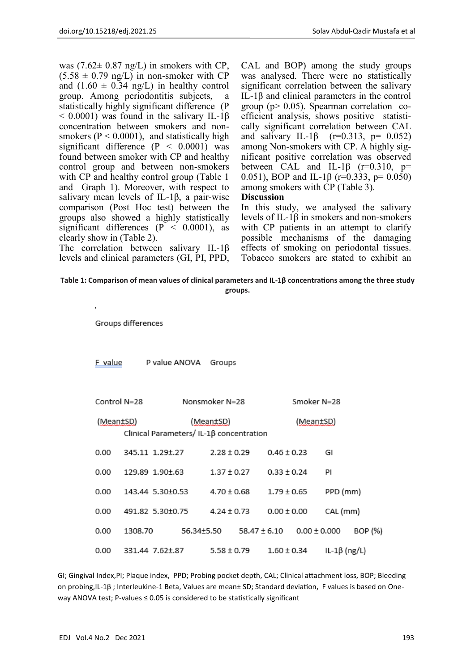was  $(7.62 \pm 0.87 \text{ ng/L})$  in smokers with CP,  $(5.58 \pm 0.79 \text{ ng/L})$  in non-smoker with CP and  $(1.60 \pm 0.34 \text{ ng/L})$  in healthy control group. Among periodontitis subjects, a statistically highly significant difference (P  $< 0.0001$ ) was found in the salivary IL-1β concentration between smokers and nonsmokers ( $P < 0.0001$ ), and statistically high significant difference  $(P < 0.0001)$  was found between smoker with CP and healthy control group and between non-smokers with CP and healthy control group (Table 1) and Graph 1). Moreover, with respect to salivary mean levels of IL-1β, a pair-wise comparison (Post Hoc test) between the groups also showed a highly statistically significant differences ( $P < 0.0001$ ), as clearly show in (Table 2).

The correlation between salivary IL-1β levels and clinical parameters (GI, PI, PPD, CAL and BOP) among the study groups was analysed. There were no statistically significant correlation between the salivary IL-1β and clinical parameters in the control group ( $p > 0.05$ ). Spearman correlation coefficient analysis, shows positive statistically significant correlation between CAL and salivary IL-1β (r=0.313, p= 0.052) among Non-smokers with CP. A highly significant positive correlation was observed between CAL and IL-1 $\beta$  (r=0.310, p= 0.051), BOP and IL-1 $\beta$  (r=0.333, p= 0.050) among smokers with CP (Table 3).

#### **Discussion**

In this study, we analysed the salivary levels of IL-1β in smokers and non-smokers with CP patients in an attempt to clarify possible mechanisms of the damaging effects of smoking on periodontal tissues. Tobacco smokers are stated to exhibit an

| Table 1: Comparison of mean values of clinical parameters and IL-1B concentrations among the three study |
|----------------------------------------------------------------------------------------------------------|
| groups.                                                                                                  |

Groups differences

| F value      |         | P value ANOVA    | Groups          |                                                       |                 |                  |              |         |  |
|--------------|---------|------------------|-----------------|-------------------------------------------------------|-----------------|------------------|--------------|---------|--|
| Control N=28 |         |                  | Nonsmoker N=28  |                                                       |                 | Smoker N=28      |              |         |  |
| (Mean±SD)    |         |                  | (Mean±SD)       | (Mean±SD)<br>Clinical Parameters/ IL-1β concentration |                 |                  |              |         |  |
| 0.00         |         | 345.11 1.29±.27  | $2.28 \pm 0.29$ |                                                       | $0.46 \pm 0.23$ |                  | GI           |         |  |
| 0.00         |         | 129.89 1.90±.63  | $1.37 \pm 0.27$ |                                                       | $0.33 \pm 0.24$ |                  | ΡI           |         |  |
| 0.00         |         | 143.44 5.30±0.53 | $4.70 \pm 0.68$ |                                                       | $1.79 \pm 0.65$ |                  | PPD (mm)     |         |  |
| 0.00         |         | 491.82 5.30±0.75 | $4.24 \pm 0.73$ |                                                       | $0.00 \pm 0.00$ |                  | CAL (mm)     |         |  |
| 0.00         | 1308.70 |                  | 56.34±5.50      | $58.47 \pm 6.10$                                      |                 | $0.00 \pm 0.000$ |              | BOP (%) |  |
| 0.00         |         | 331.44 7.62±.87  | $5.58 \pm 0.79$ |                                                       | $1.60 \pm 0.34$ |                  | IL-1β (ng/L) |         |  |

GI; Gingival Index,PI; Plaque index, PPD; Probing pocket depth, CAL; Clinical attachment loss, BOP; Bleeding on probing,IL-1β ; Interleukine-1 Beta, Values are mean± SD; Standard deviation, F values is based on Oneway ANOVA test; P-values ≤ 0.05 is considered to be statistically significant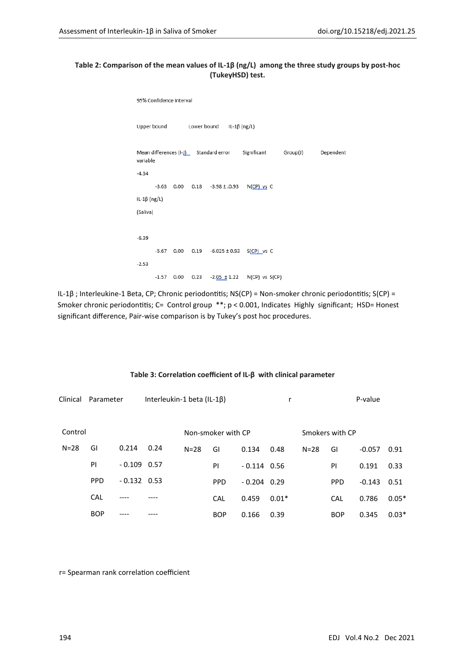#### **Table 2: Comparison of the mean values of IL-1β (ng/L) among the three study groups by post-hoc (TukeyHSD) test.**

```
95% Confidence interval
Upper bound
                                  IL-1\beta (ng/L)
                   Lower bound
Mean differences (I-1) Standard error
                                         Significant
                                                         Group(J)
                                                                       Dependent
variable
-4.34-3.63  0.00  0.18  -3.98 ± 0.93  N(CP) vs C
IL-1\beta (ng/L)
(Saliva)
-6.39-5.67  0.00  0.19  -6.025 ± 0.93  S(CP) vs  C
-2.53-1.57 0.00 0.23 -2.05 \pm 1.22 N(CP) vs S(CP)
```
IL-1β ; Interleukine-1 Beta, CP; Chronic periodontitis; NS(CP) = Non-smoker chronic periodontitis; S(CP) = Smoker chronic periodontitis; C= Control group \*\*; p < 0.001, Indicates Highly significant; HSD= Honest significant difference, Pair-wise comparison is by Tukey's post hoc procedures.

| Clinical | Parameter  |               | Interleukin-1 beta (IL-1B) |          |                    |               | r       |                 | P-value    |          |         |
|----------|------------|---------------|----------------------------|----------|--------------------|---------------|---------|-----------------|------------|----------|---------|
| Control  |            |               |                            |          | Non-smoker with CP |               |         | Smokers with CP |            |          |         |
| $N = 28$ | GI         | 0.214         | 0.24                       | $N = 28$ | GI                 | 0.134         | 0.48    | $N = 28$        | GI         | $-0.057$ | 0.91    |
|          | PI         | $-0.109$ 0.57 |                            |          | PI                 | $-0.114$ 0.56 |         |                 | PI         | 0.191    | 0.33    |
|          | <b>PPD</b> | $-0.132$ 0.53 |                            |          | <b>PPD</b>         | $-0.204$ 0.29 |         |                 | <b>PPD</b> | $-0.143$ | 0.51    |
|          | <b>CAL</b> |               |                            |          | CAL                | 0.459         | $0.01*$ |                 | CAL        | 0.786    | $0.05*$ |
|          | <b>BOP</b> |               |                            |          | <b>BOP</b>         | 0.166         | 0.39    |                 | <b>BOP</b> | 0.345    | $0.03*$ |

#### **Table 3: Correlation coefficient of IL-β with clinical parameter**

r= Spearman rank correlation coefficient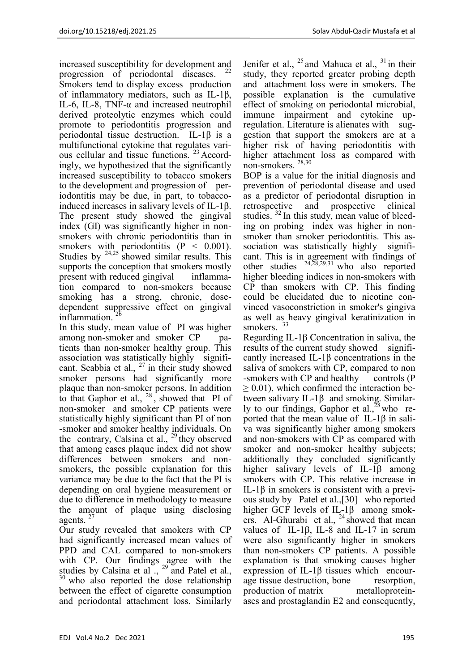increased susceptibility for development and progression of periodontal diseases. Smokers tend to display excess production of inflammatory mediators, such as IL-1β, IL-6, IL-8, TNF- $\alpha$  and increased neutrophil derived proteolytic enzymes which could promote to periodontitis progression and periodontal tissue destruction. IL-1β is a multifunctional cytokine that regulates various cellular and tissue functions.<sup>23</sup> Accordingly, we hypothesized that the significantly increased susceptibility to tobacco smokers to the development and progression of periodontitis may be due, in part, to tobaccoinduced increases in salivary levels of IL-1β. The present study showed the gingival index (GI) was significantly higher in nonsmokers with chronic periodontitis than in smokers with periodontitis  $(P < 0.001)$ . Studies by  $24.25$  showed similar results. This supports the conception that smokers mostly present with reduced gingival inflammation compared to non-smokers because smoking has a strong, chronic, dosedependent suppressive effect on gingival inflammation.

In this study, mean value of PI was higher among non-smoker and smoker CP patients than non-smoker healthy group. This association was statistically highly significant. Scabbia et al.,  $^{27}$  in their study showed smoker persons had significantly more plaque than non-smoker persons. In addition to that Gaphor et al.,  $^{28}$ , showed that PI of non-smoker and smoker CP patients were statistically highly significant than PI of non -smoker and smoker healthy individuals. On the contrary, Calsina et al.,  $^{29}$  they observed that among cases plaque index did not show differences between smokers and nonsmokers, the possible explanation for this variance may be due to the fact that the PI is depending on oral hygiene measurement or due to difference in methodology to measure the amount of plaque using disclosing agents.  $27$ 

Our study revealed that smokers with CP had significantly increased mean values of PPD and CAL compared to non-smokers with CP. Our findings agree with the studies by Calsina et al.,  $^{29}$  and Patel et al., <sup>30</sup> who also reported the dose relationship between the effect of cigarette consumption and periodontal attachment loss. Similarly

Jenifer et al.,  $^{25}$  and Mahuca et al.,  $^{31}$  in their study, they reported greater probing depth and attachment loss were in smokers. The possible explanation is the cumulative effect of smoking on periodontal microbial, immune impairment and cytokine upregulation. Literature is alienates with suggestion that support the smokers are at a higher risk of having periodontitis with higher attachment loss as compared with non-smokers. 28,30

BOP is a value for the initial diagnosis and prevention of periodontal disease and used as a predictor of periodontal disruption in retrospective and prospective clinical studies.  $32 \text{ In this study, mean value of the$ ing on probing index was higher in nonsmoker than smoker periodontitis. This association was statistically highly significant. This is in agreement with findings of other studies  $24,28,29,31$  who also reported higher bleeding indices in non-smokers with CP than smokers with CP. This finding could be elucidated due to nicotine convinced vasoconstriction in smoker's gingiva as well as heavy gingival keratinization in smokers. <sup>33</sup>

Regarding IL-1β Concentration in saliva, the results of the current study showed significantly increased IL-1 $\beta$  concentrations in the saliva of smokers with CP, compared to non -smokers with CP and healthy controls (P  $\geq 0.01$ ), which confirmed the interaction between salivary IL-1β and smoking. Similarly to our findings, Gaphor et al., $^{28}$  who reported that the mean value of IL-1β in saliva was significantly higher among smokers and non-smokers with CP as compared with smoker and non-smoker healthy subjects; additionally they concluded significantly higher salivary levels of IL-1β among smokers with CP. This relative increase in IL-1β in smokers is consistent with a previous study by Patel et al.,[30] who reported higher GCF levels of IL-1β among smokers. Al-Ghurabi et al.,  $^{24}$  showed that mean values of IL-1β, IL-8 and IL-17 in serum were also significantly higher in smokers than non-smokers CP patients. A possible explanation is that smoking causes higher expression of IL-1β tissues which encourage tissue destruction, bone resorption, production of matrix metalloproteinases and prostaglandin E2 and consequently,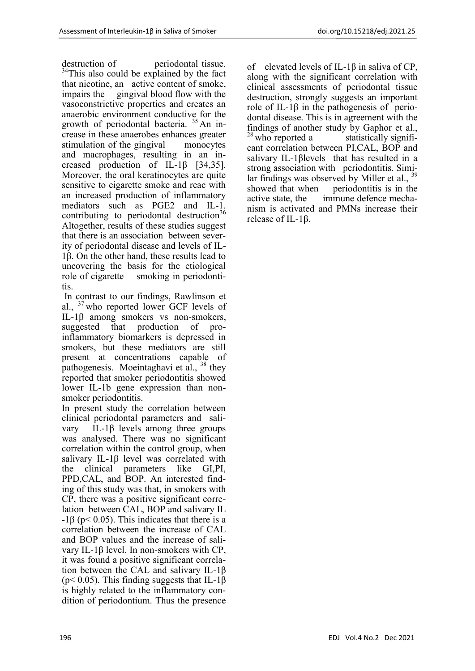destruction of periodontal tissue. <sup>34</sup>This also could be explained by the fact that nicotine, an active content of smoke, impairs the gingival blood flow with the vasoconstrictive properties and creates an anaerobic environment conductive for the growth of periodontal bacteria.  $35$  An increase in these anaerobes enhances greater stimulation of the gingival monocytes and macrophages, resulting in an increased production of IL-1β [34,35]. Moreover, the oral keratinocytes are quite sensitive to cigarette smoke and reac with an increased production of inflammatory mediators such as PGE2 and IL-1. contributing to periodontal destruction $36$ Altogether, results of these studies suggest that there is an association between severity of periodontal disease and levels of IL-1β. On the other hand, these results lead to uncovering the basis for the etiological role of cigarette smoking in periodontitis.

In contrast to our findings, Rawlinson et al.,  $\frac{3}{7}$  who reported lower GCF levels of IL-1β among smokers vs non-smokers, suggested that production of pro‐ inflammatory biomarkers is depressed in smokers, but these mediators are still present at concentrations capable of pathogenesis. Moeintaghavi et al., <sup>38</sup> they reported that smoker periodontitis showed lower IL-1b gene expression than nonsmoker periodontitis.

In present study the correlation between clinical periodontal parameters and salivary IL-1β levels among three groups was analysed. There was no significant correlation within the control group, when salivary IL-1β level was correlated with the clinical parameters like GI,PI, PPD,CAL, and BOP. An interested finding of this study was that, in smokers with CP, there was a positive significant correlation between CAL, BOP and salivary IL -1β (p< 0.05). This indicates that there is a correlation between the increase of CAL and BOP values and the increase of salivary IL-1β level. In non-smokers with CP, it was found a positive significant correlation between the CAL and salivary IL-1β ( $p$ < 0.05). This finding suggests that IL-1 $\beta$ is highly related to the inflammatory condition of periodontium. Thus the presence of elevated levels of IL-1β in saliva of CP, along with the significant correlation with clinical assessments of periodontal tissue destruction, strongly suggests an important role of IL-1β in the pathogenesis of periodontal disease. This is in agreement with the findings of another study by Gaphor et al.,  $28$  who reported a statistically significant correlation between PI,CAL, BOP and salivary IL-1βlevels that has resulted in a strong association with periodontitis. Similar findings was observed by Miller et al., showed that when periodontitis is in the active state, the immune defence mechanism is activated and PMNs increase their release of IL-1β.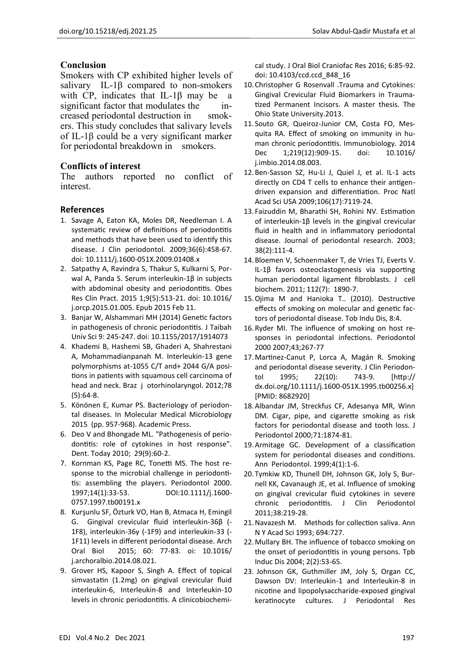## **Conclusion**

Smokers with CP exhibited higher levels of salivary IL-1β compared to non-smokers with CP, indicates that IL-1β may be a significant factor that modulates the increased periodontal destruction in smokers. This study concludes that salivary levels of IL-1β could be a very significant marker for periodontal breakdown in smokers.

## **Conflicts of interest**

The authors reported no conflict of interest.

### **References**

- 1. Savage A, Eaton KA, Moles DR, Needleman I. A systematic review of definitions of periodontitis and methods that have been used to identify this disease. J Clin periodontol. 2009;36(6):458-67. doi: 10.1111/j.1600-051X.2009.01408.x
- 2. Satpathy A, Ravindra S, Thakur S, Kulkarni S, Porwal A, Panda S. Serum interleukin-1β in subjects with abdominal obesity and periodontitis. Obes Res Clin Pract. 2015 1;9(5):513-21. doi: 10.1016/ j.orcp.2015.01.005. Epub 2015 Feb 11.
- 3. Banjar W, Alshammari MH (2014) Genetic factors in pathogenesis of chronic periodontitis. J Taibah Univ Sci 9: 245-247. doi: 10.1155/2017/1914073
- 4. Khademi B, Hashemi SB, Ghaderi A, Shahrestani A, Mohammadianpanah M. Interleukin-13 gene polymorphisms at-1055 C/T and+ 2044 G/A positions in patients with squamous cell carcinoma of head and neck. Braz j otorhinolaryngol. 2012;78 (5):64-8.
- 5. Könönen E, Kumar PS. Bacteriology of periodontal diseases. In Molecular Medical Microbiology 2015 (pp. 957-968). Academic Press.
- 6. Deo V and Bhongade ML. "Pathogenesis of periodontitis: role of cytokines in host response". Dent. Today 2010; 29(9):60-2.
- 7. Kornman KS, Page RC, Tonetti MS. The host response to the microbial challenge in periodontitis: assembling the players. Periodontol 2000. 1997;14(1):33-53. DOI:10.1111/j.1600- 0757.1997.tb00191.x
- 8. Kurşunlu SF, Özturk VO, Han B, Atmaca H, Emingil G. Gingival crevicular fluid interleukin-36β (- 1F8), interleukin-36γ (-1F9) and interleukin-33 (- 1F11) levels in different periodontal disease. Arch Oral Biol 2015; 60: 77-83. oi: 10.1016/ j.archoralbio.2014.08.021.
- 9. Grover HS, Kapoor S, Singh A. Effect of topical simvastatin (1.2mg) on gingival crevicular fluid interleukin-6, Interleukin-8 and Interleukin-10 levels in chronic periodontitis. A clinicobiochemi-

cal study. J Oral Biol Craniofac Res 2016; 6:85-92. doi: 10.4103/ccd.ccd\_848\_16

- 10.Christopher G Rosenvall .Trauma and Cytokines: Gingival Crevicular Fluid Biomarkers in Traumatized Permanent Incisors. A master thesis. The Ohio State University.2013.
- 11. Souto GR, Queiroz-Junior CM, Costa FO, Mesquita RA. Effect of smoking on immunity in human chronic periodontitis. Immunobiology. 2014 Dec 1;219(12):909-15. doi: 10.1016/ j.imbio.2014.08.003.
- 12.Ben-Sasson SZ, Hu-Li J, Quiel J, et al. IL-1 acts directly on CD4 T cells to enhance their antigendriven expansion and differentiation. Proc Natl Acad Sci USA 2009;106(17):7119-24.
- 13. Faizuddin M, Bharathi SH, Rohini NV. Estimation of interleukin‐1β levels in the gingival crevicular fluid in health and in inflammatory periodontal disease. Journal of periodontal research. 2003; 38(2):111-4.
- 14.Bloemen V, Schoenmaker T, de Vries TJ, Everts V. IL‐1β favors osteoclastogenesis via supporting human periodontal ligament fibroblasts. J cell biochem. 2011; 112(7): 1890-7.
- 15.Ojima M and Hanioka T.. (2010). Destructive effects of smoking on molecular and genetic factors of periodontal disease. Tob Indu Dis, 8:4.
- 16.Ryder MI. The influence of smoking on host responses in periodontal infections. Periodontol 2000 2007;43;267-77
- 17.Martinez-Canut P, Lorca A, Magán R. Smoking and periodontal disease severity. J Clin Periodontol 1995; 22(10): 743-9. [http:// dx.doi.org/10.1111/j.1600-051X.1995.tb00256.x] [PMID: 8682920]
- 18.Albandar JM, Streckfus CF, Adesanya MR, Winn DM. Cigar, pipe, and cigarette smoking as risk factors for periodontal disease and tooth loss. J Periodontol 2000;71:1874-81.
- 19.Armitage GC. Development of a classification system for periodontal diseases and conditions. Ann Periodontol. 1999;4(1):1-6.
- 20.Tymkiw KD, Thunell DH, Johnson GK, Joly S, Burnell KK, Cavanaugh JE, et al. Influence of smoking on gingival crevicular fluid cytokines in severe chronic periodontitis. J Clin Periodontol 2011;38:219-28.
- 21.Navazesh M. Methods for collection saliva. Ann N Y Acad Sci 1993; 694:727.
- 22.Mullary BH. The influence of tobacco smoking on the onset of periodontitis in young persons. Tpb Induc Dis 2004; 2(2):53-65.
- 23. Johnson GK, Guthmiller JM, Joly S, Organ CC, Dawson DV: Interleukin-1 and Interleukin-8 in nicotine and lipopolysaccharide-exposed gingival keratinocyte cultures. J Periodontal Res